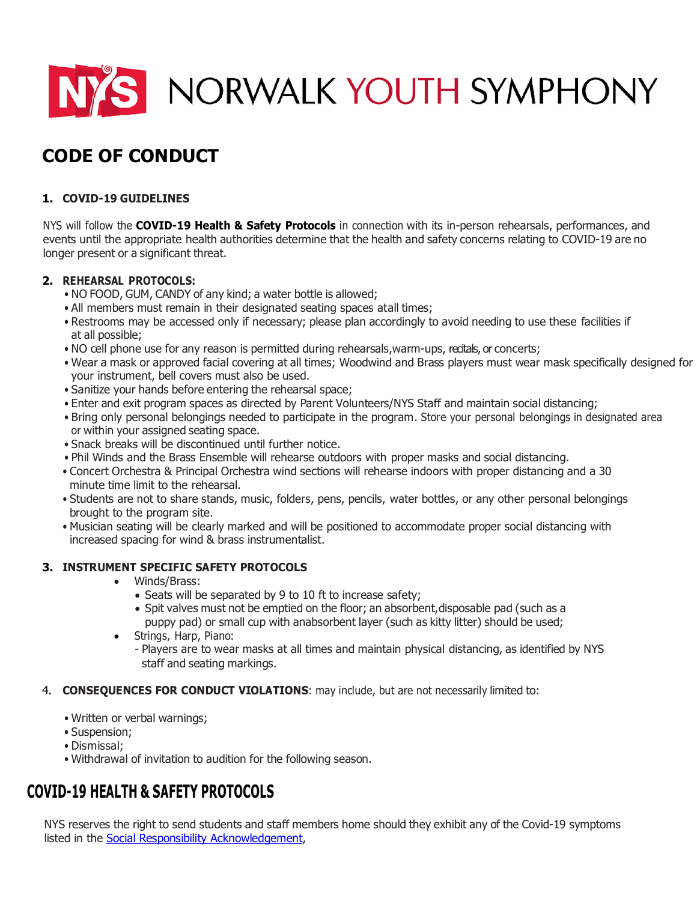

# **CODE OF CONDUCT**

# **1. COVID-19 GUIDELINES**

NYS will follow the **COVID-19 Health & Safety Protocols** in connection with its in-person rehearsals, performances, and events until the appropriate health authorities determine that the health and safety concerns relating to COVID-19 are no longer present or a significant threat.

# **2. REHEARSAL PROTOCOLS:**

- NO FOOD, GUM, CANDY of any kind; a water bottle is allowed;
- All members must remain in their designated seating spaces atall times;
- Restrooms may be accessed only if necessary; please plan accordingly to avoid needing to use these facilities if at all possible;
- NO cell phone use for any reason is permitted during rehearsals,warm-ups, recitals, or concerts;
- Wear a mask or approved facial covering at all times; Woodwind and Brass players must wear mask specifically designed for your instrument, bell covers must also be used.
- Sanitize your hands before entering the rehearsal space;
- Enter and exit program spaces as directed by Parent Volunteers/NYS Staff and maintain social distancing;
- Bring only personal belongings needed to participate in the program. Store your personal belongings in designated area or within your assigned seating space.
- Snack breaks will be discontinued until further notice.
- Phil Winds and the Brass Ensemble will rehearse outdoors with proper masks and social distancing.
- Concert Orchestra & Principal Orchestra wind sections will rehearse indoors with proper distancing and a 30 minute time limit to the rehearsal.
- Students are not to share stands, music, folders, pens, pencils, water bottles, or any other personal belongings brought to the program site.
- Musician seating will be clearly marked and will be positioned to accommodate proper social distancing with increased spacing for wind & brass instrumentalist.

# **3. INSTRUMENT SPECIFIC SAFETY PROTOCOLS**

- Winds/Brass:
	- Seats will be separated by 9 to 10 ft to increase safety;
	- Spit valves must not be emptied on the floor; an absorbent, disposable pad (such as a puppy pad) or small cup with anabsorbent layer (such as kitty litter) should be used;
- Strings, Harp, Piano:
	- Players are to wear masks at all times and maintain physical distancing, as identified by NYS staff and seating markings.
- 4. **CONSEQUENCES FOR CONDUCT VIOLATIONS**: may include, but are not necessarily limited to:
	- Written or verbal warnings;
	- Suspension;
	- Dismissal;
	- Withdrawal of invitation to audition for the following season.

# **COVID-19 HEALTH & SAFETY PROTOCOLS**

NYS reserves the right to send students and staff members home should they exhibit any of the Covid-19 symptoms listed in the [Social Responsibility Acknowledgement,](https://norwalkyouthsymphony-my.sharepoint.com/personal/sara_watkins_norwalkyouthsymphony_onmicrosoft_com/Documents/Administration/COVID-19/COVID%20Acknowledgments,%20Waivers%20and%20Release%20(edited%204.28).pdf)